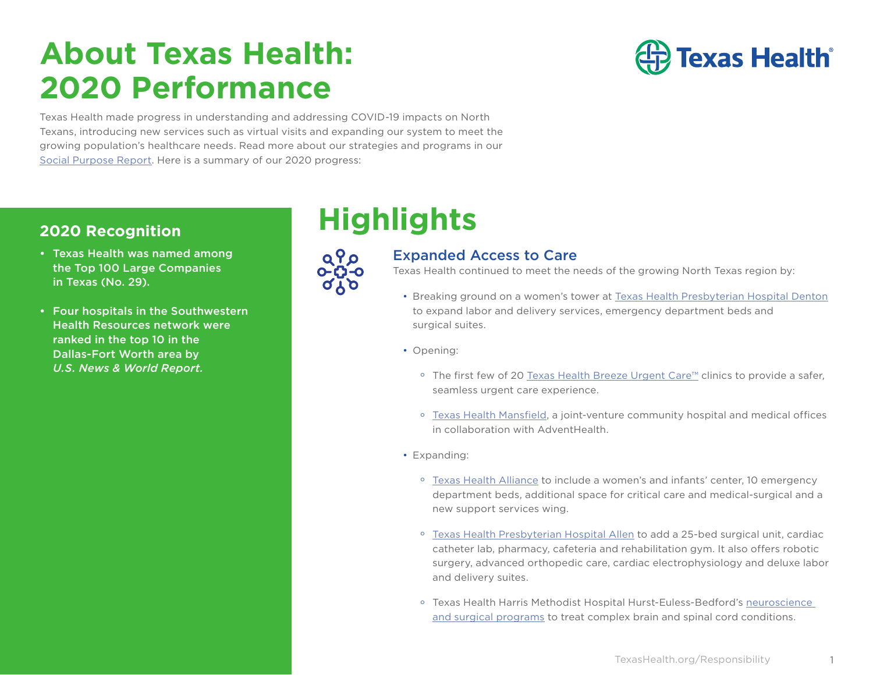# **About Texas Health: 2020 Performance**



Texas Health made progress in understanding and addressing COVID-19 impacts on North Texans, introducing new services such as virtual visits and expanding our system to meet the growing population's healthcare needs. Read more about our strategies and programs in our [Social Purpose Report.](https://www.texashealth.org/responsibility/) Here is a summary of our 2020 progress:

- Texas Health was named among the Top 100 Large Companies in Texas (No. 29).
- Four hospitals in the Southwestern Health Resources network were ranked in the top 10 in the Dallas-Fort Worth area by *U.S. News & World Report.*

# **2020 Recognition Highlights**



## Expanded Access to Care

Texas Health continued to meet the needs of the growing North Texas region by:

- Breaking ground on a women's tower at [Texas Health Presbyterian Hospital Denton](https://www.texashealth.org/en/Newsroom/News-Releases/2020/Texas-Health-Denton-Celebrates-Tower-Groundbreaking) to expand labor and delivery services, emergency department beds and surgical suites.
- Opening:
	- o The first few of 20 [Texas Health Breeze Urgent Care](https://breezeurgentcare.texashealth.org/en)™ clinics to provide a safer, seamless urgent care experience.
	- o [Texas Health Mansfield](https://www.texashealth.org/locations/texas-health-mansfield), a joint-venture community hospital and medical offices in collaboration with AdventHealth.
- Expanding:
	- o [Texas Health Alliance](https://www.texashealth.org/Locations/texas-health-alliance/Texas-Health-Alliance-Celebrates-Opening-of-Major-Hospital-Expansion) to include a women's and infants' center, 10 emergency department beds, additional space for critical care and medical-surgical and a new support services wing.
	- o [Texas Health Presbyterian Hospital Allen](https://www.texashealth.org/en/Locations/Texas-Health-Allen/Compassionate-Care-Close-to-Home-at-Texas-Health-Allen) to add a 25-bed surgical unit, cardiac catheter lab, pharmacy, cafeteria and rehabilitation gym. It also offers robotic surgery, advanced orthopedic care, cardiac electrophysiology and deluxe labor and delivery suites.
	- o Texas Health Harris Methodist Hospital Hurst-Euless-Bedford's [neuroscience](https://www.texashealth.org/Newsroom/News-Releases/2020/Hospital-Enhancing-and-Expanding-Patient-Care)  [and surgical programs](https://www.texashealth.org/Newsroom/News-Releases/2020/Hospital-Enhancing-and-Expanding-Patient-Care) to treat complex brain and spinal cord conditions.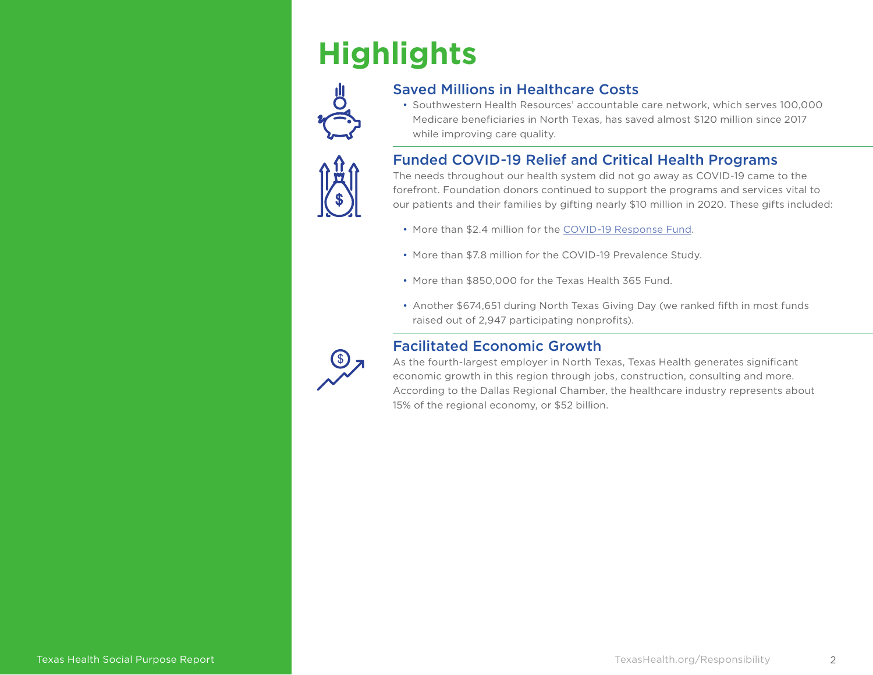# **Highlights**



## Saved Millions in Healthcare Costs

• Southwestern Health Resources' accountable care network, which serves 100,000 Medicare beneficiaries in North Texas, has saved almost \$120 million since 2017 while improving care quality.

## Funded COVID-19 Relief and Critical Health Programs

The needs throughout our health system did not go away as COVID-19 came to the forefront. Foundation donors continued to support the programs and services vital to our patients and their families by gifting nearly \$10 million in 2020. These gifts included:

- More than \$2.4 million for the [COVID-19 Response Fund.](https://www.texashealth.org/Foundation/COVID-19-Response-Fund)
- More than \$7.8 million for the COVID-19 Prevalence Study.
- More than \$850,000 for the Texas Health 365 Fund.
- Another \$674,651 during North Texas Giving Day (we ranked fifth in most funds raised out of 2,947 participating nonprofits).



## Facilitated Economic Growth

As the fourth-largest employer in North Texas, Texas Health generates significant economic growth in this region through jobs, construction, consulting and more. According to the Dallas Regional Chamber, the healthcare industry represents about 15% of the regional economy, or \$52 billion.